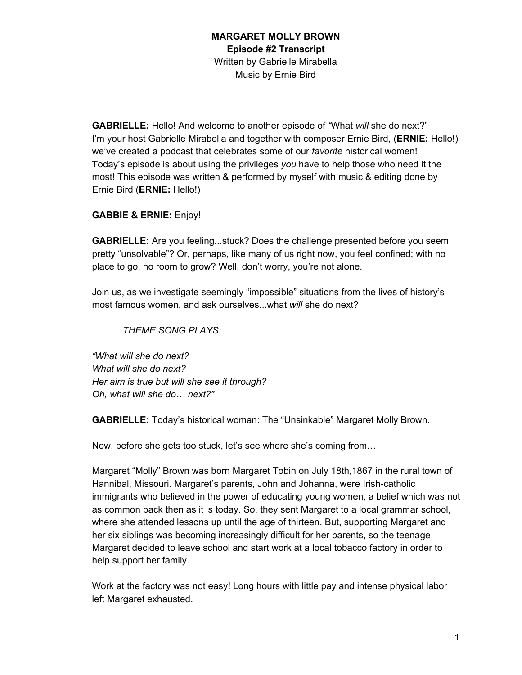**GABRIELLE:** Hello! And welcome to another episode of *"*What *will* she do next?" I'm your host Gabrielle Mirabella and together with composer Ernie Bird, (**ERNIE:** Hello!) we've created a podcast that celebrates some of our *favorite* historical women! Today's episode is about using the privileges *you* have to help those who need it the most! This episode was written & performed by myself with music & editing done by Ernie Bird (**ERNIE:** Hello!)

### **GABBIE & ERNIE:** Enjoy!

**GABRIELLE:** Are you feeling...stuck? Does the challenge presented before you seem pretty "unsolvable"? Or, perhaps, like many of us right now, you feel confined; with no place to go, no room to grow? Well, don't worry, you're not alone.

Join us, as we investigate seemingly "impossible" situations from the lives of history's most famous women, and ask ourselves...what *will* she do next?

*THEME SONG PLAYS:*

*"What will she do next? What will she do next? Her aim is true but will she see it through? Oh, what will she do… next?"*

**GABRIELLE:** Today's historical woman: The "Unsinkable" Margaret Molly Brown.

Now, before she gets too stuck, let's see where she's coming from…

Margaret "Molly" Brown was born Margaret Tobin on July 18th,1867 in the rural town of Hannibal, Missouri. Margaret's parents, John and Johanna, were Irish-catholic immigrants who believed in the power of educating young women, a belief which was not as common back then as it is today. So, they sent Margaret to a local grammar school, where she attended lessons up until the age of thirteen. But, supporting Margaret and her six siblings was becoming increasingly difficult for her parents, so the teenage Margaret decided to leave school and start work at a local tobacco factory in order to help support her family.

Work at the factory was not easy! Long hours with little pay and intense physical labor left Margaret exhausted.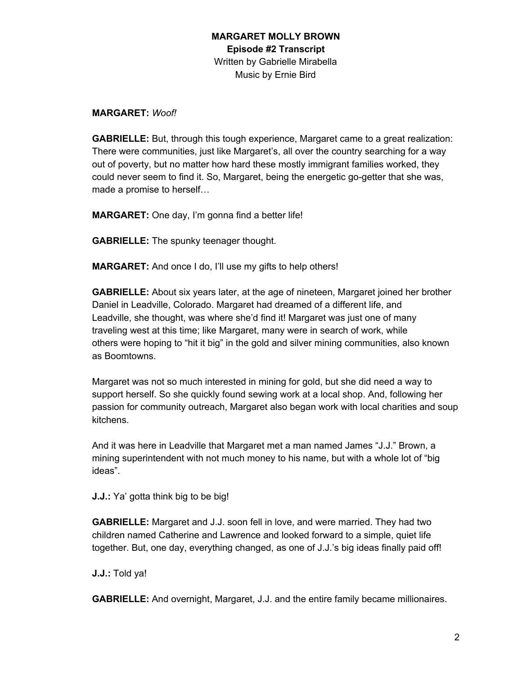#### **MARGARET:** *Woof!*

**GABRIELLE:** But, through this tough experience, Margaret came to a great realization: There were communities, just like Margaret's, all over the country searching for a way out of poverty, but no matter how hard these mostly immigrant families worked, they could never seem to find it. So, Margaret, being the energetic go-getter that she was, made a promise to herself…

**MARGARET:** One day, I'm gonna find a better life!

**GABRIELLE:** The spunky teenager thought.

**MARGARET:** And once I do, I'll use my gifts to help others!

**GABRIELLE:** About six years later, at the age of nineteen, Margaret joined her brother Daniel in Leadville, Colorado. Margaret had dreamed of a different life, and Leadville, she thought, was where she'd find it! Margaret was just one of many traveling west at this time; like Margaret, many were in search of work, while others were hoping to "hit it big" in the gold and silver mining communities, also known as Boomtowns.

Margaret was not so much interested in mining for gold, but she did need a way to support herself. So she quickly found sewing work at a local shop. And, following her passion for community outreach, Margaret also began work with local charities and soup kitchens.

And it was here in Leadville that Margaret met a man named James "J.J." Brown, a mining superintendent with not much money to his name, but with a whole lot of "big ideas".

**J.J.:** Ya' gotta think big to be big!

**GABRIELLE:** Margaret and J.J. soon fell in love, and were married. They had two children named Catherine and Lawrence and looked forward to a simple, quiet life together. But, one day, everything changed, as one of J.J.'s big ideas finally paid off!

**J.J.:** Told ya!

**GABRIELLE:** And overnight, Margaret, J.J. and the entire family became millionaires.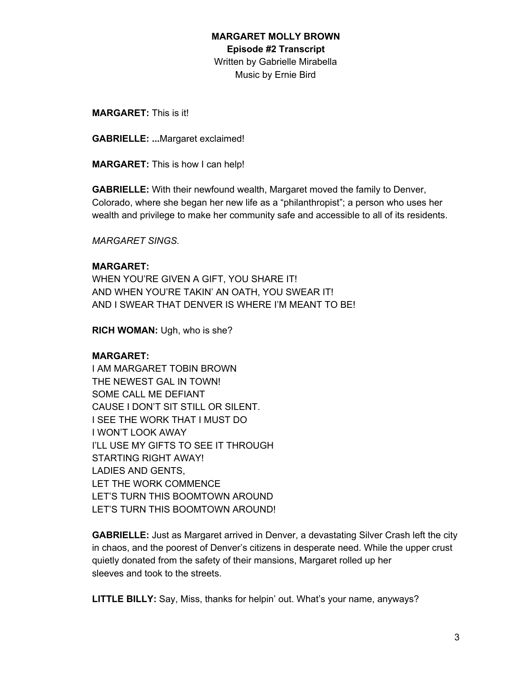**MARGARET:** This is it!

**GABRIELLE: ...**Margaret exclaimed!

**MARGARET:** This is how I can help!

**GABRIELLE:** With their newfound wealth, Margaret moved the family to Denver, Colorado, where she began her new life as a "philanthropist"; a person who uses her wealth and privilege to make her community safe and accessible to all of its residents.

*MARGARET SINGS.*

### **MARGARET:**

WHEN YOU'RE GIVEN A GIFT, YOU SHARE IT! AND WHEN YOU'RE TAKIN' AN OATH, YOU SWEAR IT! AND I SWEAR THAT DENVER IS WHERE I'M MEANT TO BE!

**RICH WOMAN:** Ugh, who is she?

## **MARGARET:**

I AM MARGARET TOBIN BROWN THE NEWEST GAL IN TOWN! SOME CALL ME DEFIANT CAUSE I DON'T SIT STILL OR SILENT. I SEE THE WORK THAT I MUST DO I WON'T LOOK AWAY I'LL USE MY GIFTS TO SEE IT THROUGH STARTING RIGHT AWAY! LADIES AND GENTS, LET THE WORK COMMENCE LET'S TURN THIS BOOMTOWN AROUND LET'S TURN THIS BOOMTOWN AROUND!

**GABRIELLE:** Just as Margaret arrived in Denver, a devastating Silver Crash left the city in chaos, and the poorest of Denver's citizens in desperate need. While the upper crust quietly donated from the safety of their mansions, Margaret rolled up her sleeves and took to the streets.

**LITTLE BILLY:** Say, Miss, thanks for helpin' out. What's your name, anyways?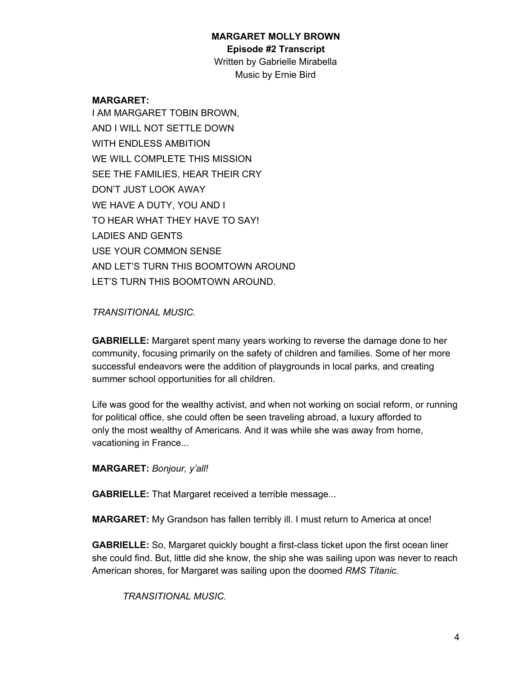#### **MARGARET MOLLY BROWN**

**Episode #2 Transcript**

Written by Gabrielle Mirabella Music by Ernie Bird

### **MARGARET:**

I AM MARGARET TOBIN BROWN, AND I WILL NOT SETTLE DOWN WITH ENDLESS AMBITION WE WILL COMPLETE THIS MISSION SEE THE FAMILIES, HEAR THEIR CRY DON'T JUST LOOK AWAY WE HAVE A DUTY, YOU AND I TO HEAR WHAT THEY HAVE TO SAY! LADIES AND GENTS USE YOUR COMMON SENSE AND LET'S TURN THIS BOOMTOWN AROUND LET'S TURN THIS BOOMTOWN AROUND.

## *TRANSITIONAL MUSIC.*

**GABRIELLE:** Margaret spent many years working to reverse the damage done to her community, focusing primarily on the safety of children and families. Some of her more successful endeavors were the addition of playgrounds in local parks, and creating summer school opportunities for all children.

Life was good for the wealthy activist, and when not working on social reform, or running for political office, she could often be seen traveling abroad, a luxury afforded to only the most wealthy of Americans. And it was while she was away from home, vacationing in France...

**MARGARET:** *Bonjour, y'all!*

**GABRIELLE:** That Margaret received a terrible message...

**MARGARET:** My Grandson has fallen terribly ill. I must return to America at once!

**GABRIELLE:** So, Margaret quickly bought a first-class ticket upon the first ocean liner she could find. But, little did she know, the ship she was sailing upon was never to reach American shores, for Margaret was sailing upon the doomed *RMS Titanic.*

*TRANSITIONAL MUSIC.*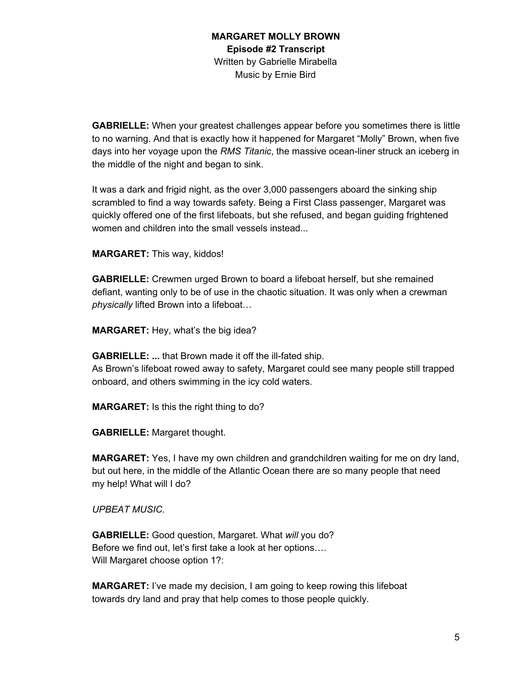**GABRIELLE:** When your greatest challenges appear before you sometimes there is little to no warning. And that is exactly how it happened for Margaret "Molly" Brown, when five days into her voyage upon the *RMS Titanic*, the massive ocean-liner struck an iceberg in the middle of the night and began to sink.

It was a dark and frigid night, as the over 3,000 passengers aboard the sinking ship scrambled to find a way towards safety. Being a First Class passenger, Margaret was quickly offered one of the first lifeboats, but she refused, and began guiding frightened women and children into the small vessels instead...

**MARGARET:** This way, kiddos!

**GABRIELLE:** Crewmen urged Brown to board a lifeboat herself, but she remained defiant, wanting only to be of use in the chaotic situation. It was only when a crewman *physically* lifted Brown into a lifeboat…

**MARGARET:** Hey, what's the big idea?

**GABRIELLE: ...** that Brown made it off the ill-fated ship.

As Brown's lifeboat rowed away to safety, Margaret could see many people still trapped onboard, and others swimming in the icy cold waters.

**MARGARET:** Is this the right thing to do?

**GABRIELLE:** Margaret thought.

**MARGARET:** Yes, I have my own children and grandchildren waiting for me on dry land, but out here, in the middle of the Atlantic Ocean there are so many people that need my help! What will I do?

*UPBEAT MUSIC.*

**GABRIELLE:** Good question, Margaret. What *will* you do? Before we find out, let's first take a look at her options…. Will Margaret choose option 1?:

**MARGARET:** I've made my decision, I am going to keep rowing this lifeboat towards dry land and pray that help comes to those people quickly.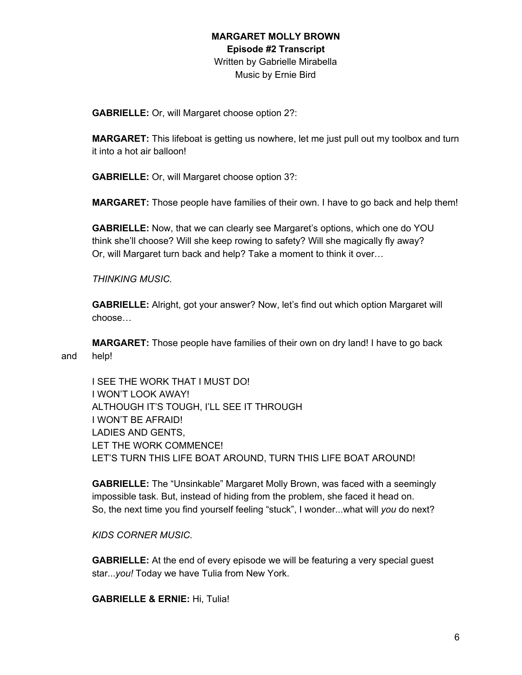**GABRIELLE:** Or, will Margaret choose option 2?:

**MARGARET:** This lifeboat is getting us nowhere, let me just pull out my toolbox and turn it into a hot air balloon!

**GABRIELLE:** Or, will Margaret choose option 3?:

**MARGARET:** Those people have families of their own. I have to go back and help them!

**GABRIELLE:** Now, that we can clearly see Margaret's options, which one do YOU think she'll choose? Will she keep rowing to safety? Will she magically fly away? Or, will Margaret turn back and help? Take a moment to think it over…

*THINKING MUSIC.*

**GABRIELLE:** Alright, got your answer? Now, let's find out which option Margaret will choose…

**MARGARET:** Those people have families of their own on dry land! I have to go back and help!

I SEE THE WORK THAT I MUST DO! I WON'T LOOK AWAY! ALTHOUGH IT'S TOUGH, I'LL SEE IT THROUGH I WON'T BE AFRAID! LADIES AND GENTS, LET THE WORK COMMENCE! LET'S TURN THIS LIFE BOAT AROUND, TURN THIS LIFE BOAT AROUND!

**GABRIELLE:** The "Unsinkable" Margaret Molly Brown, was faced with a seemingly impossible task. But, instead of hiding from the problem, she faced it head on. So, the next time you find yourself feeling "stuck", I wonder...what will *you* do next?

*KIDS CORNER MUSIC.*

**GABRIELLE:** At the end of every episode we will be featuring a very special guest star...*you!* Today we have Tulia from New York.

**GABRIELLE & ERNIE:** Hi, Tulia!